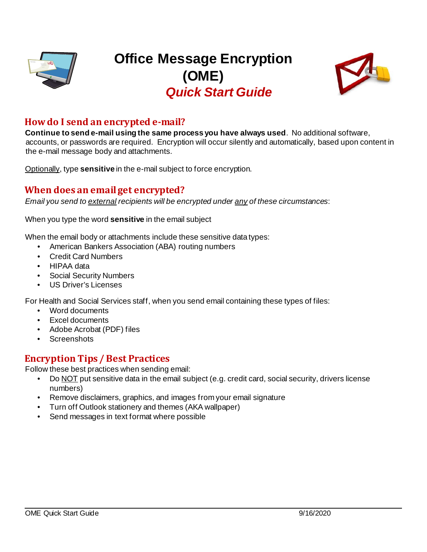

# **Office Message Encryption (OME)** *Quick Start Guide*



## **How do I send an encrypted e-mail?**

**Continue to send e-mail using the same process you have always used**. No additional software, accounts, or passwords are required. Encryption will occur silently and automatically, based upon content in the e-mail message body and attachments.

Optionally, type **sensitive** in the e-mail subject to force encryption.

#### **When does an email get encrypted?**

*Email you send to external recipients will be encrypted under any of these circumstances*:

When you type the word **sensitive** in the email subject

When the email body or attachments include these sensitive data types:

- American Bankers Association (ABA) routing numbers
- Credit Card Numbers
- HIPAA data
- Social Security Numbers
- US Driver's Licenses

For Health and Social Services staff, when you send email containing these types of files:

- Word documents
- Excel documents
- Adobe Acrobat (PDF) files
- Screenshots

#### **Encryption Tips / Best Practices**

Follow these best practices when sending email:

- Do NOT put sensitive data in the email subject (e.g. credit card, social security, drivers license numbers)
- Remove disclaimers, graphics, and images from your email signature
- Turn off Outlook stationery and themes (AKA wallpaper)
- Send messages in text format where possible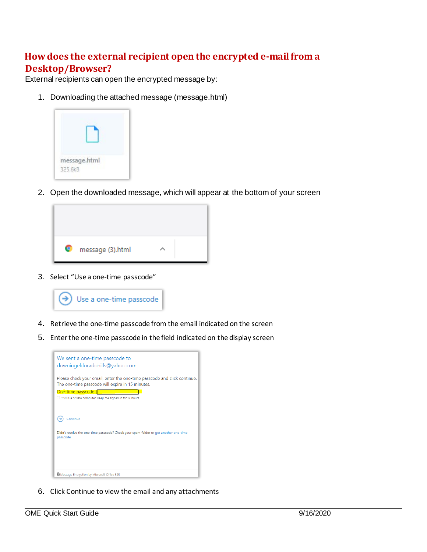# **How does the external recipient open the encrypted e-mailfrom a Desktop/Browser?**

External recipients can open the encrypted message by:

1. Downloading the attached message (message.html)



2. Open the downloaded message, which will appear at the bottom of your screen



3. Select "Use a one-time passcode"



- 4. Retrieve the one-time passcode from the email indicated on the screen
- 5. Enter the one-time passcode in the field indicated on the display screen



6. Click Continue to view the email and any attachments